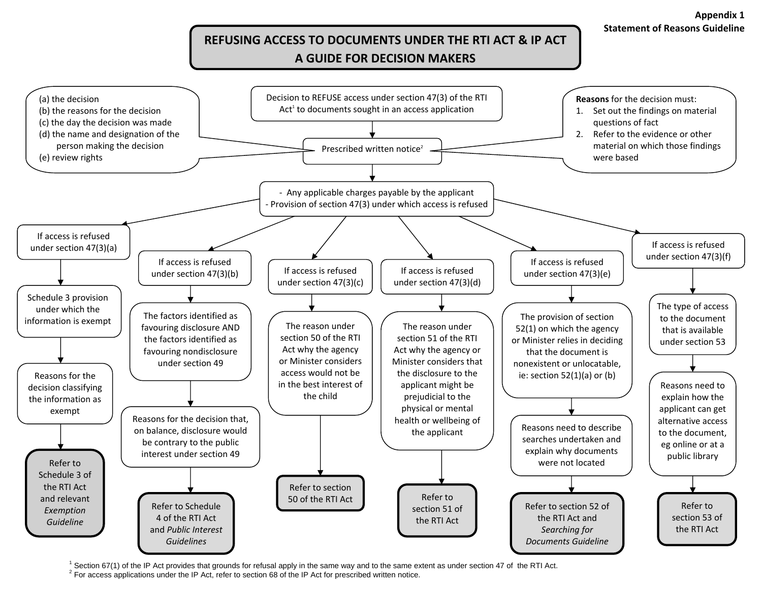## **REFUSING ACCESS TO DOCUMENTS UNDER THE RTI ACT & IP ACT A GUIDE FOR DECISION MAKERS**



 $^1$  Section 67(1) of the IP Act provides that grounds for refusal apply in the same way and to the same extent as under section 47 of the RTI Act.<br><sup>2</sup> For access applications under the IP Act, refer to section 68 of the

**Appendix 1 Statement of Reasons Guideline**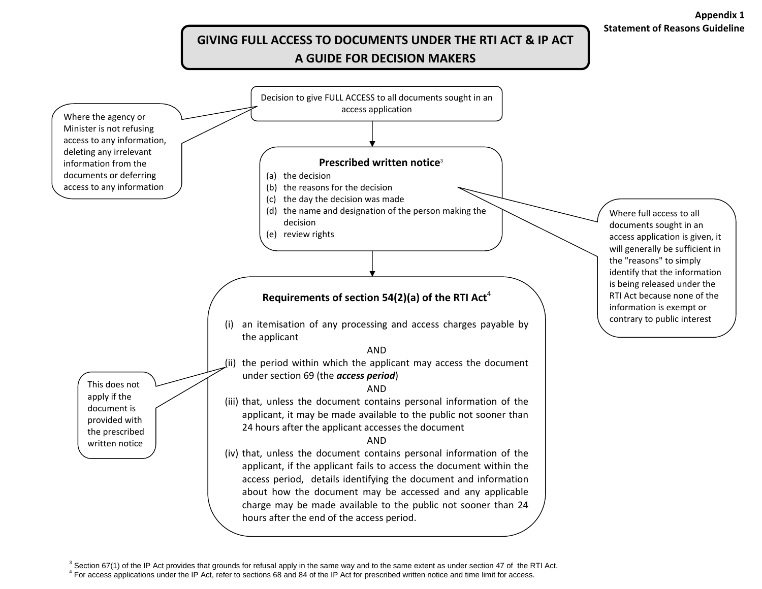## **Statement of Reasons GuidelineGIVING FULL ACCESS TO DOCUMENTS UNDER THE RTI ACT & IP ACT**

**Appendix 1**

## **A GUIDE FOR DECISION MAKERS**



 $3$  Section 67(1) of the IP Act provides that grounds for refusal apply in the same way and to the same extent as under section 47 of the RTI Act.<br> $4$  For access applications under the IP Act, refer to sections 68 and 84